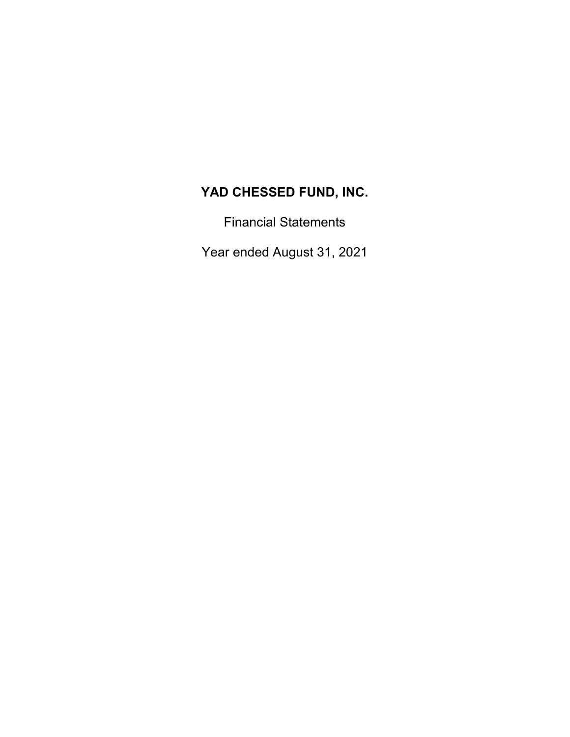Financial Statements

Year ended August 31, 2021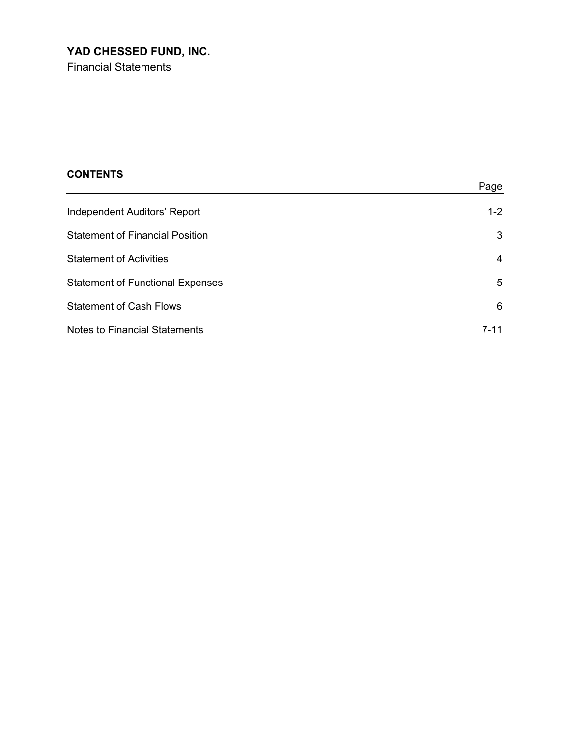Financial Statements

| <b>CONTENTS</b> |  |
|-----------------|--|
|-----------------|--|

|                                         | Page    |
|-----------------------------------------|---------|
| Independent Auditors' Report            | $1 - 2$ |
| <b>Statement of Financial Position</b>  | 3       |
| <b>Statement of Activities</b>          | 4       |
| <b>Statement of Functional Expenses</b> | 5       |
| <b>Statement of Cash Flows</b>          | 6       |
| <b>Notes to Financial Statements</b>    | 7-11    |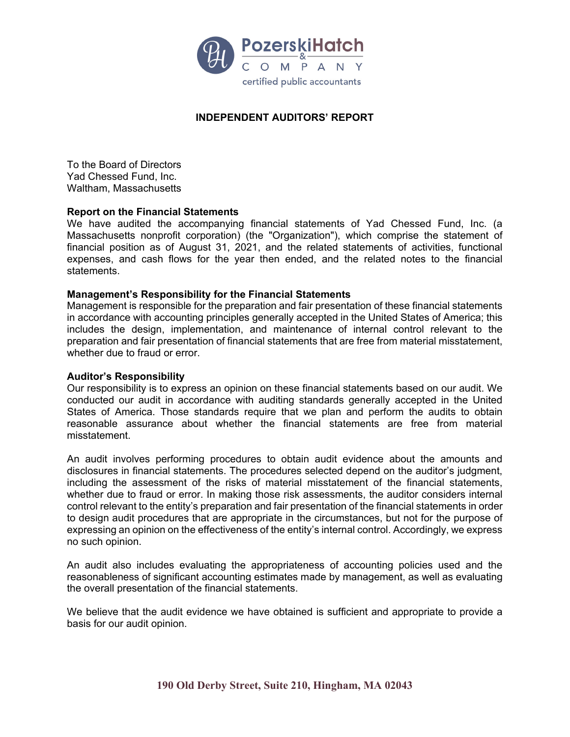

### **INDEPENDENT AUDITORS' REPORT**

To the Board of Directors Yad Chessed Fund, Inc. Waltham, Massachusetts

#### **Report on the Financial Statements**

We have audited the accompanying financial statements of Yad Chessed Fund, Inc. (a Massachusetts nonprofit corporation) (the "Organization"), which comprise the statement of financial position as of August 31, 2021, and the related statements of activities, functional expenses, and cash flows for the year then ended, and the related notes to the financial statements.

#### **Management's Responsibility for the Financial Statements**

Management is responsible for the preparation and fair presentation of these financial statements in accordance with accounting principles generally accepted in the United States of America; this includes the design, implementation, and maintenance of internal control relevant to the preparation and fair presentation of financial statements that are free from material misstatement, whether due to fraud or error.

#### **Auditor's Responsibility**

Our responsibility is to express an opinion on these financial statements based on our audit. We conducted our audit in accordance with auditing standards generally accepted in the United States of America. Those standards require that we plan and perform the audits to obtain reasonable assurance about whether the financial statements are free from material misstatement.

An audit involves performing procedures to obtain audit evidence about the amounts and disclosures in financial statements. The procedures selected depend on the auditor's judgment, including the assessment of the risks of material misstatement of the financial statements, whether due to fraud or error. In making those risk assessments, the auditor considers internal control relevant to the entity's preparation and fair presentation of the financial statements in order to design audit procedures that are appropriate in the circumstances, but not for the purpose of expressing an opinion on the effectiveness of the entity's internal control. Accordingly, we express no such opinion.

An audit also includes evaluating the appropriateness of accounting policies used and the reasonableness of significant accounting estimates made by management, as well as evaluating the overall presentation of the financial statements.

We believe that the audit evidence we have obtained is sufficient and appropriate to provide a basis for our audit opinion.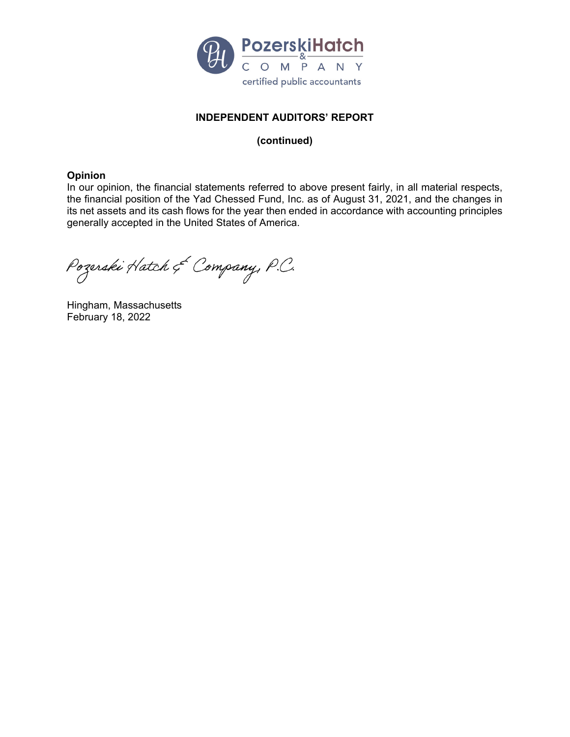

## **INDEPENDENT AUDITORS' REPORT**

### **(continued)**

#### **Opinion**

In our opinion, the financial statements referred to above present fairly, in all material respects, the financial position of the Yad Chessed Fund, Inc. as of August 31, 2021, and the changes in its net assets and its cash flows for the year then ended in accordance with accounting principles generally accepted in the United States of America.

Pozerski Hatch & Company, P.C.

Hingham, Massachusetts February 18, 2022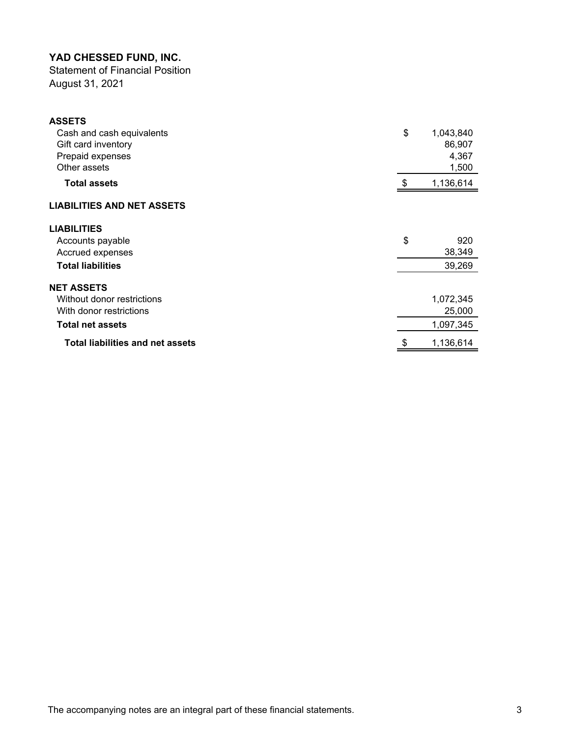Statement of Financial Position August 31, 2021

| <b>ASSETS</b>                           |     |           |
|-----------------------------------------|-----|-----------|
| Cash and cash equivalents               | \$  | 1,043,840 |
| Gift card inventory                     |     | 86,907    |
| Prepaid expenses                        |     | 4,367     |
| Other assets                            |     | 1,500     |
| <b>Total assets</b>                     | -\$ | 1,136,614 |
| <b>LIABILITIES AND NET ASSETS</b>       |     |           |
| <b>LIABILITIES</b>                      |     |           |
| Accounts payable                        | \$  | 920       |
| Accrued expenses                        |     | 38,349    |
| <b>Total liabilities</b>                |     | 39,269    |
| <b>NET ASSETS</b>                       |     |           |
| Without donor restrictions              |     | 1,072,345 |
| With donor restrictions                 |     | 25,000    |
| <b>Total net assets</b>                 |     | 1,097,345 |
| <b>Total liabilities and net assets</b> |     | 1,136,614 |
|                                         |     |           |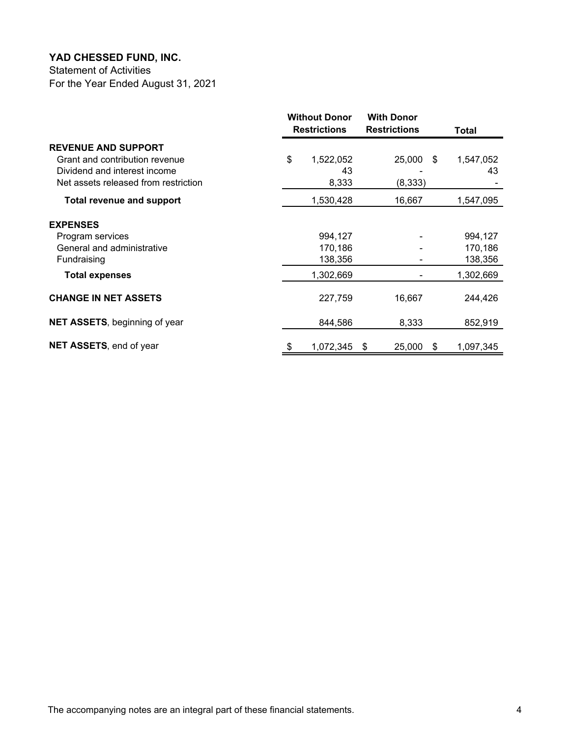Statement of Activities For the Year Ended August 31, 2021

|                                      |    | <b>Without Donor</b><br><b>Restrictions</b> | <b>With Donor</b><br><b>Restrictions</b> |     | Total     |
|--------------------------------------|----|---------------------------------------------|------------------------------------------|-----|-----------|
| <b>REVENUE AND SUPPORT</b>           |    |                                             |                                          |     |           |
| Grant and contribution revenue       | \$ | 1,522,052                                   | 25,000                                   | \$. | 1,547,052 |
| Dividend and interest income         |    | 43                                          |                                          |     | 43        |
| Net assets released from restriction |    | 8,333                                       | (8, 333)                                 |     |           |
| <b>Total revenue and support</b>     |    | 1,530,428                                   | 16,667                                   |     | 1,547,095 |
| <b>EXPENSES</b>                      |    |                                             |                                          |     |           |
| Program services                     |    | 994,127                                     |                                          |     | 994,127   |
| General and administrative           |    | 170,186                                     |                                          |     | 170,186   |
| Fundraising                          |    | 138,356                                     |                                          |     | 138,356   |
| <b>Total expenses</b>                |    | 1,302,669                                   |                                          |     | 1,302,669 |
| <b>CHANGE IN NET ASSETS</b>          |    | 227,759                                     | 16,667                                   |     | 244,426   |
| <b>NET ASSETS, beginning of year</b> |    | 844,586                                     | 8,333                                    |     | 852,919   |
| <b>NET ASSETS, end of year</b>       | \$ | 1,072,345                                   | 25,000<br>- \$                           | \$  | 1,097,345 |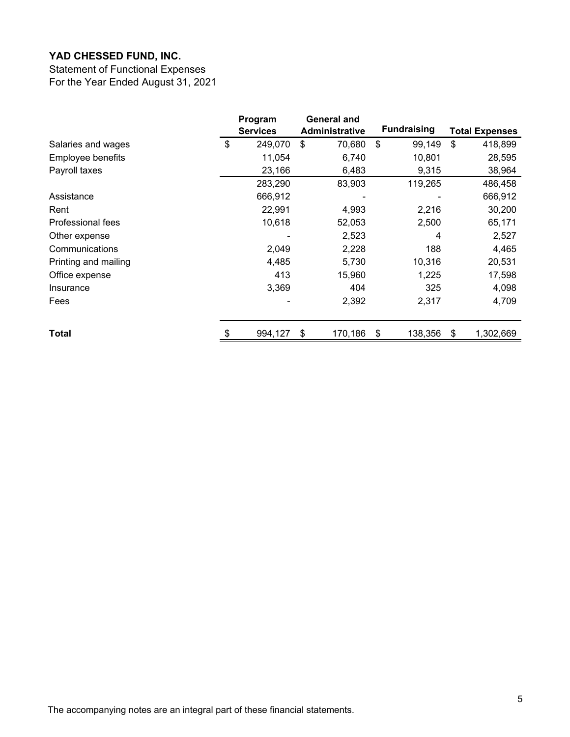Statement of Functional Expenses For the Year Ended August 31, 2021

|                      | Program<br><b>Services</b> | General and<br><b>Administrative</b> | <b>Fundraising</b> | <b>Total Expenses</b> |
|----------------------|----------------------------|--------------------------------------|--------------------|-----------------------|
| Salaries and wages   | \$<br>249,070              | \$<br>70,680                         | \$<br>99,149       | \$<br>418,899         |
| Employee benefits    | 11,054                     | 6,740                                | 10,801             | 28,595                |
| Payroll taxes        | 23,166                     | 6,483                                | 9,315              | 38,964                |
|                      | 283,290                    | 83,903                               | 119,265            | 486,458               |
| Assistance           | 666,912                    |                                      |                    | 666,912               |
| Rent                 | 22,991                     | 4,993                                | 2,216              | 30,200                |
| Professional fees    | 10,618                     | 52,053                               | 2,500              | 65,171                |
| Other expense        |                            | 2,523                                | 4                  | 2,527                 |
| Communications       | 2,049                      | 2,228                                | 188                | 4,465                 |
| Printing and mailing | 4,485                      | 5,730                                | 10,316             | 20,531                |
| Office expense       | 413                        | 15,960                               | 1,225              | 17,598                |
| Insurance            | 3,369                      | 404                                  | 325                | 4,098                 |
| Fees                 |                            | 2,392                                | 2,317              | 4,709                 |
| Total                | 994,127                    | \$<br>170,186                        | \$<br>138,356      | \$<br>1,302,669       |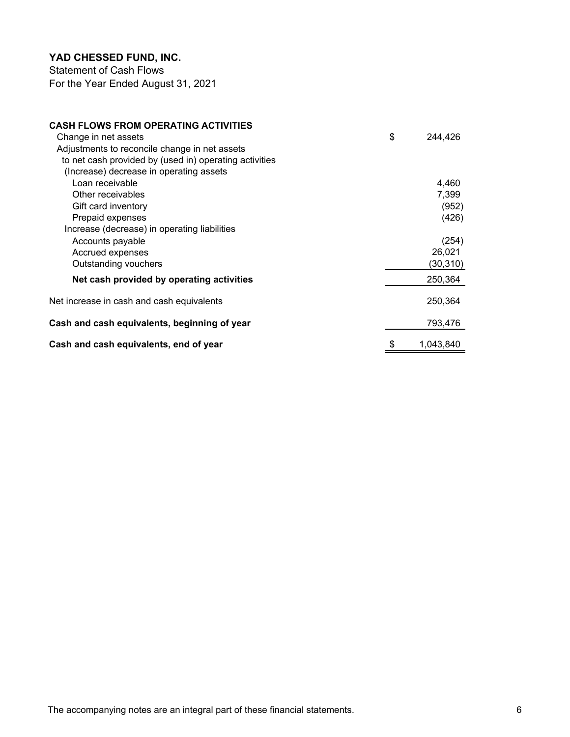Statement of Cash Flows For the Year Ended August 31, 2021

| <b>CASH FLOWS FROM OPERATING ACTIVITIES</b>            |                 |
|--------------------------------------------------------|-----------------|
| Change in net assets                                   | \$<br>244,426   |
| Adjustments to reconcile change in net assets          |                 |
| to net cash provided by (used in) operating activities |                 |
| (Increase) decrease in operating assets                |                 |
| Loan receivable                                        | 4,460           |
| Other receivables                                      | 7,399           |
| Gift card inventory                                    | (952)           |
| Prepaid expenses                                       | (426)           |
| Increase (decrease) in operating liabilities           |                 |
| Accounts payable                                       | (254)           |
| Accrued expenses                                       | 26,021          |
| Outstanding vouchers                                   | (30,310)        |
| Net cash provided by operating activities              | 250,364         |
| Net increase in cash and cash equivalents              | 250,364         |
| Cash and cash equivalents, beginning of year           | 793,476         |
| Cash and cash equivalents, end of year                 | \$<br>1.043.840 |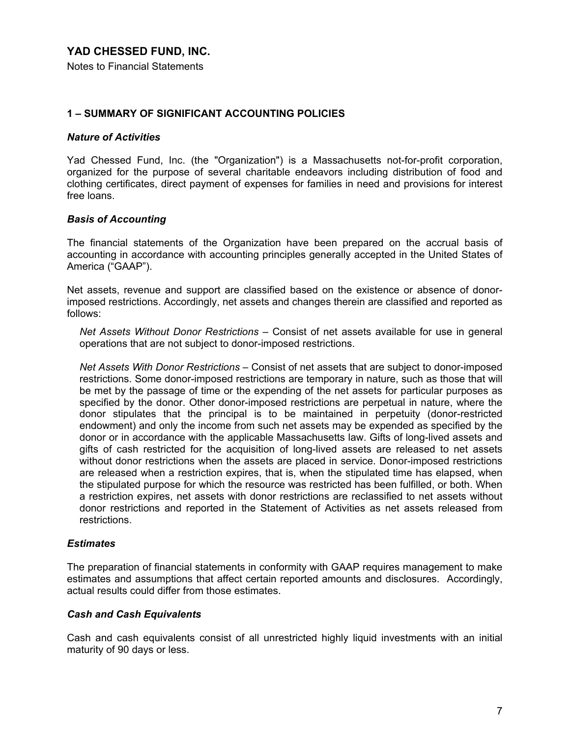Notes to Financial Statements

### **1 – SUMMARY OF SIGNIFICANT ACCOUNTING POLICIES**

#### *Nature of Activities*

Yad Chessed Fund, Inc. (the "Organization") is a Massachusetts not-for-profit corporation, organized for the purpose of several charitable endeavors including distribution of food and clothing certificates, direct payment of expenses for families in need and provisions for interest free loans.

#### *Basis of Accounting*

The financial statements of the Organization have been prepared on the accrual basis of accounting in accordance with accounting principles generally accepted in the United States of America ("GAAP").

Net assets, revenue and support are classified based on the existence or absence of donorimposed restrictions. Accordingly, net assets and changes therein are classified and reported as follows:

*Net Assets Without Donor Restrictions –* Consist of net assets available for use in general operations that are not subject to donor-imposed restrictions.

*Net Assets With Donor Restrictions –* Consist of net assets that are subject to donor-imposed restrictions. Some donor-imposed restrictions are temporary in nature, such as those that will be met by the passage of time or the expending of the net assets for particular purposes as specified by the donor. Other donor-imposed restrictions are perpetual in nature, where the donor stipulates that the principal is to be maintained in perpetuity (donor-restricted endowment) and only the income from such net assets may be expended as specified by the donor or in accordance with the applicable Massachusetts law. Gifts of long-lived assets and gifts of cash restricted for the acquisition of long-lived assets are released to net assets without donor restrictions when the assets are placed in service. Donor-imposed restrictions are released when a restriction expires, that is, when the stipulated time has elapsed, when the stipulated purpose for which the resource was restricted has been fulfilled, or both. When a restriction expires, net assets with donor restrictions are reclassified to net assets without donor restrictions and reported in the Statement of Activities as net assets released from restrictions.

#### *Estimates*

The preparation of financial statements in conformity with GAAP requires management to make estimates and assumptions that affect certain reported amounts and disclosures. Accordingly, actual results could differ from those estimates.

#### *Cash and Cash Equivalents*

Cash and cash equivalents consist of all unrestricted highly liquid investments with an initial maturity of 90 days or less.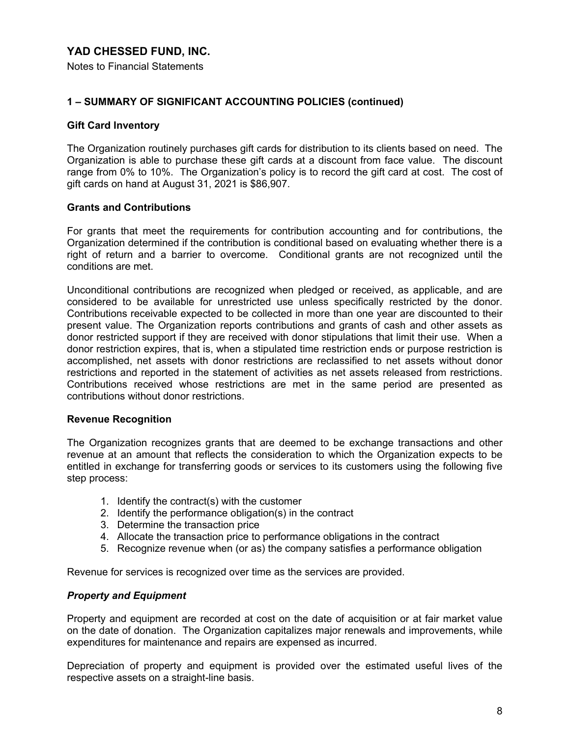Notes to Financial Statements

### **1 – SUMMARY OF SIGNIFICANT ACCOUNTING POLICIES (continued)**

#### **Gift Card Inventory**

The Organization routinely purchases gift cards for distribution to its clients based on need. The Organization is able to purchase these gift cards at a discount from face value. The discount range from 0% to 10%. The Organization's policy is to record the gift card at cost. The cost of gift cards on hand at August 31, 2021 is \$86,907.

#### **Grants and Contributions**

For grants that meet the requirements for contribution accounting and for contributions, the Organization determined if the contribution is conditional based on evaluating whether there is a right of return and a barrier to overcome. Conditional grants are not recognized until the conditions are met.

Unconditional contributions are recognized when pledged or received, as applicable, and are considered to be available for unrestricted use unless specifically restricted by the donor. Contributions receivable expected to be collected in more than one year are discounted to their present value. The Organization reports contributions and grants of cash and other assets as donor restricted support if they are received with donor stipulations that limit their use. When a donor restriction expires, that is, when a stipulated time restriction ends or purpose restriction is accomplished, net assets with donor restrictions are reclassified to net assets without donor restrictions and reported in the statement of activities as net assets released from restrictions. Contributions received whose restrictions are met in the same period are presented as contributions without donor restrictions.

#### **Revenue Recognition**

The Organization recognizes grants that are deemed to be exchange transactions and other revenue at an amount that reflects the consideration to which the Organization expects to be entitled in exchange for transferring goods or services to its customers using the following five step process:

- 1. Identify the contract(s) with the customer
- 2. Identify the performance obligation(s) in the contract
- 3. Determine the transaction price
- 4. Allocate the transaction price to performance obligations in the contract
- 5. Recognize revenue when (or as) the company satisfies a performance obligation

Revenue for services is recognized over time as the services are provided.

### *Property and Equipment*

Property and equipment are recorded at cost on the date of acquisition or at fair market value on the date of donation. The Organization capitalizes major renewals and improvements, while expenditures for maintenance and repairs are expensed as incurred.

Depreciation of property and equipment is provided over the estimated useful lives of the respective assets on a straight-line basis.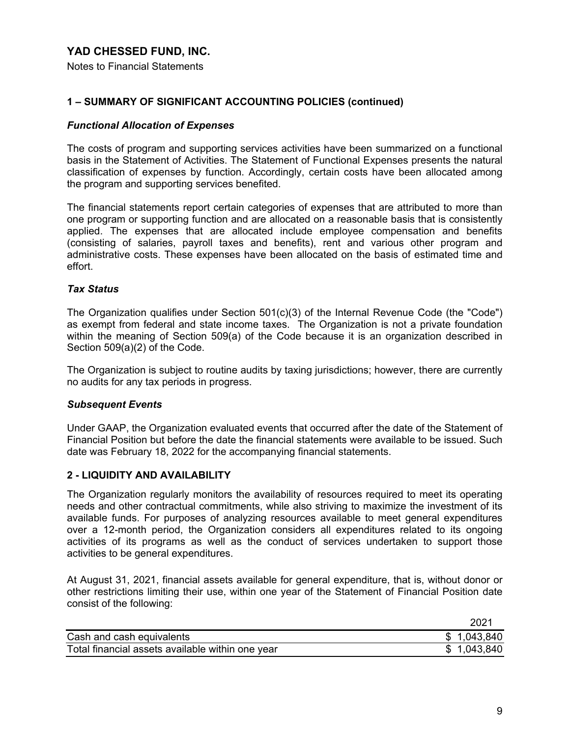Notes to Financial Statements

### **1 – SUMMARY OF SIGNIFICANT ACCOUNTING POLICIES (continued)**

### *Functional Allocation of Expenses*

The costs of program and supporting services activities have been summarized on a functional basis in the Statement of Activities. The Statement of Functional Expenses presents the natural classification of expenses by function. Accordingly, certain costs have been allocated among the program and supporting services benefited.

The financial statements report certain categories of expenses that are attributed to more than one program or supporting function and are allocated on a reasonable basis that is consistently applied. The expenses that are allocated include employee compensation and benefits (consisting of salaries, payroll taxes and benefits), rent and various other program and administrative costs. These expenses have been allocated on the basis of estimated time and effort.

#### *Tax Status*

The Organization qualifies under Section 501(c)(3) of the Internal Revenue Code (the "Code") as exempt from federal and state income taxes. The Organization is not a private foundation within the meaning of Section 509(a) of the Code because it is an organization described in Section 509(a)(2) of the Code.

The Organization is subject to routine audits by taxing jurisdictions; however, there are currently no audits for any tax periods in progress.

#### *Subsequent Events*

Under GAAP, the Organization evaluated events that occurred after the date of the Statement of Financial Position but before the date the financial statements were available to be issued. Such date was February 18, 2022 for the accompanying financial statements.

### **2 - LIQUIDITY AND AVAILABILITY**

The Organization regularly monitors the availability of resources required to meet its operating needs and other contractual commitments, while also striving to maximize the investment of its available funds. For purposes of analyzing resources available to meet general expenditures over a 12-month period, the Organization considers all expenditures related to its ongoing activities of its programs as well as the conduct of services undertaken to support those activities to be general expenditures.

At August 31, 2021, financial assets available for general expenditure, that is, without donor or other restrictions limiting their use, within one year of the Statement of Financial Position date consist of the following:

|                                                  | 2021        |
|--------------------------------------------------|-------------|
| Cash and cash equivalents                        | \$1,043,840 |
| Total financial assets available within one year | \$1,043,840 |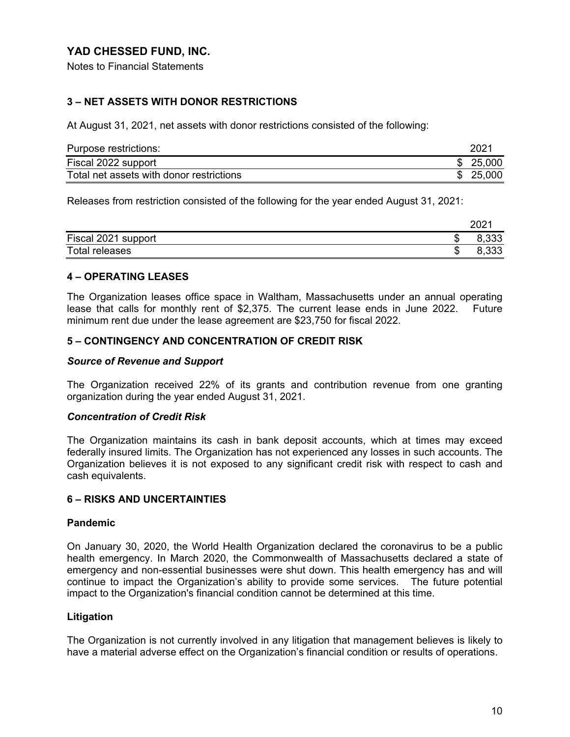Notes to Financial Statements

# **3 – NET ASSETS WITH DONOR RESTRICTIONS**

At August 31, 2021, net assets with donor restrictions consisted of the following:

| Purpose restrictions:                    | 2021     |  |
|------------------------------------------|----------|--|
| Fiscal 2022 support                      | \$25,000 |  |
| Total net assets with donor restrictions | \$25,000 |  |

Releases from restriction consisted of the following for the year ended August 31, 2021:

|                     |        | $202^{\circ}$ |
|---------------------|--------|---------------|
| Fiscal 2021 support | æ<br>Œ | ろろろ           |
| Total releases      | w      | ろろろ<br>ບບບ    |

#### **4 – OPERATING LEASES**

The Organization leases office space in Waltham, Massachusetts under an annual operating lease that calls for monthly rent of \$2,375. The current lease ends in June 2022. Future minimum rent due under the lease agreement are \$23,750 for fiscal 2022.

#### **5 – CONTINGENCY AND CONCENTRATION OF CREDIT RISK**

#### *Source of Revenue and Support*

The Organization received 22% of its grants and contribution revenue from one granting organization during the year ended August 31, 2021.

#### *Concentration of Credit Risk*

The Organization maintains its cash in bank deposit accounts, which at times may exceed federally insured limits. The Organization has not experienced any losses in such accounts. The Organization believes it is not exposed to any significant credit risk with respect to cash and cash equivalents.

### **6 – RISKS AND UNCERTAINTIES**

#### **Pandemic**

On January 30, 2020, the World Health Organization declared the coronavirus to be a public health emergency. In March 2020, the Commonwealth of Massachusetts declared a state of emergency and non-essential businesses were shut down. This health emergency has and will continue to impact the Organization's ability to provide some services. The future potential impact to the Organization's financial condition cannot be determined at this time.

#### **Litigation**

The Organization is not currently involved in any litigation that management believes is likely to have a material adverse effect on the Organization's financial condition or results of operations.